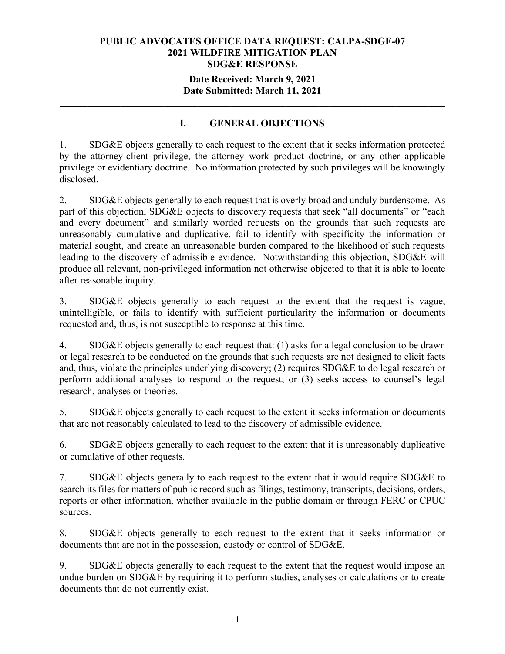### **Date Received: March 9, 2021 Date Submitted: March 11, 2021**

**\_\_\_\_\_\_\_\_\_\_\_\_\_\_\_\_\_\_\_\_\_\_\_\_\_\_\_\_\_\_\_\_\_\_\_\_\_\_\_\_\_\_\_\_\_\_\_\_\_\_\_\_\_\_\_\_\_\_\_\_\_\_\_\_\_\_\_\_\_\_**

# **I. GENERAL OBJECTIONS**

1. SDG&E objects generally to each request to the extent that it seeks information protected by the attorney-client privilege, the attorney work product doctrine, or any other applicable privilege or evidentiary doctrine. No information protected by such privileges will be knowingly disclosed.

2. SDG&E objects generally to each request that is overly broad and unduly burdensome. As part of this objection, SDG&E objects to discovery requests that seek "all documents" or "each and every document" and similarly worded requests on the grounds that such requests are unreasonably cumulative and duplicative, fail to identify with specificity the information or material sought, and create an unreasonable burden compared to the likelihood of such requests leading to the discovery of admissible evidence. Notwithstanding this objection, SDG&E will produce all relevant, non-privileged information not otherwise objected to that it is able to locate after reasonable inquiry.

3. SDG&E objects generally to each request to the extent that the request is vague, unintelligible, or fails to identify with sufficient particularity the information or documents requested and, thus, is not susceptible to response at this time.

4. SDG&E objects generally to each request that: (1) asks for a legal conclusion to be drawn or legal research to be conducted on the grounds that such requests are not designed to elicit facts and, thus, violate the principles underlying discovery; (2) requires SDG&E to do legal research or perform additional analyses to respond to the request; or (3) seeks access to counsel's legal research, analyses or theories.

5. SDG&E objects generally to each request to the extent it seeks information or documents that are not reasonably calculated to lead to the discovery of admissible evidence.

6. SDG&E objects generally to each request to the extent that it is unreasonably duplicative or cumulative of other requests.

7. SDG&E objects generally to each request to the extent that it would require SDG&E to search its files for matters of public record such as filings, testimony, transcripts, decisions, orders, reports or other information, whether available in the public domain or through FERC or CPUC sources.

8. SDG&E objects generally to each request to the extent that it seeks information or documents that are not in the possession, custody or control of SDG&E.

9. SDG&E objects generally to each request to the extent that the request would impose an undue burden on SDG&E by requiring it to perform studies, analyses or calculations or to create documents that do not currently exist.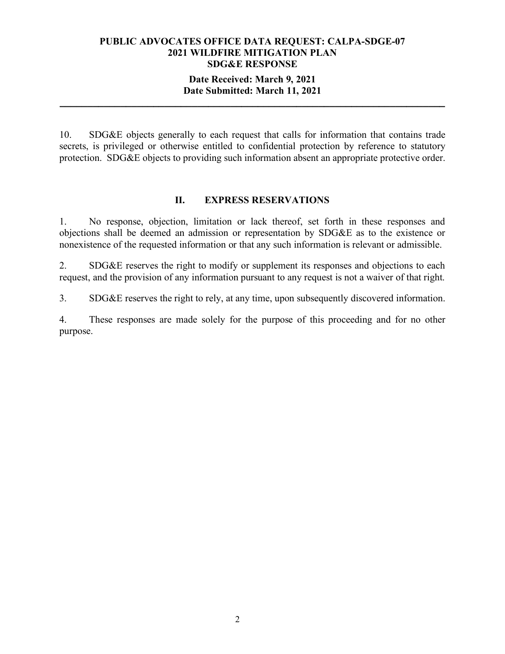### **Date Received: March 9, 2021 Date Submitted: March 11, 2021**

**\_\_\_\_\_\_\_\_\_\_\_\_\_\_\_\_\_\_\_\_\_\_\_\_\_\_\_\_\_\_\_\_\_\_\_\_\_\_\_\_\_\_\_\_\_\_\_\_\_\_\_\_\_\_\_\_\_\_\_\_\_\_\_\_\_\_\_\_\_\_**

10. SDG&E objects generally to each request that calls for information that contains trade secrets, is privileged or otherwise entitled to confidential protection by reference to statutory protection. SDG&E objects to providing such information absent an appropriate protective order.

### **II. EXPRESS RESERVATIONS**

1. No response, objection, limitation or lack thereof, set forth in these responses and objections shall be deemed an admission or representation by SDG&E as to the existence or nonexistence of the requested information or that any such information is relevant or admissible.

2. SDG&E reserves the right to modify or supplement its responses and objections to each request, and the provision of any information pursuant to any request is not a waiver of that right.

3. SDG&E reserves the right to rely, at any time, upon subsequently discovered information.

4. These responses are made solely for the purpose of this proceeding and for no other purpose.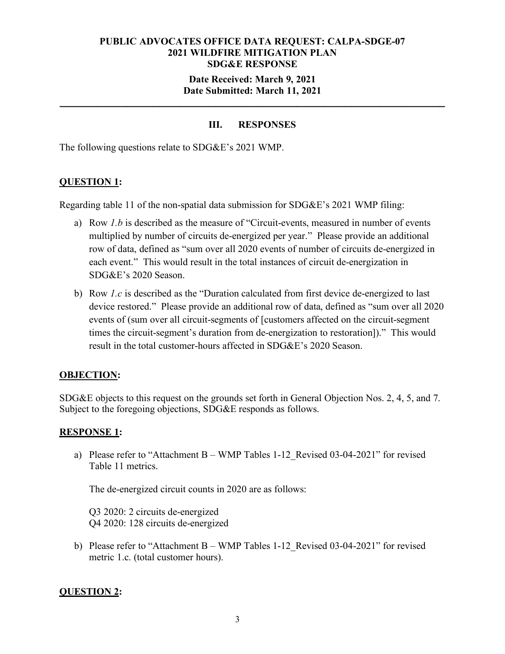### **Date Received: March 9, 2021 Date Submitted: March 11, 2021**

**\_\_\_\_\_\_\_\_\_\_\_\_\_\_\_\_\_\_\_\_\_\_\_\_\_\_\_\_\_\_\_\_\_\_\_\_\_\_\_\_\_\_\_\_\_\_\_\_\_\_\_\_\_\_\_\_\_\_\_\_\_\_\_\_\_\_\_\_\_\_**

# **III. RESPONSES**

The following questions relate to SDG&E's 2021 WMP.

#### **QUESTION 1:**

Regarding table 11 of the non-spatial data submission for SDG&E's 2021 WMP filing:

- a) Row *1.b* is described as the measure of "Circuit-events, measured in number of events multiplied by number of circuits de-energized per year." Please provide an additional row of data, defined as "sum over all 2020 events of number of circuits de-energized in each event." This would result in the total instances of circuit de-energization in SDG&E's 2020 Season.
- b) Row *1.c* is described as the "Duration calculated from first device de-energized to last device restored." Please provide an additional row of data, defined as "sum over all 2020 events of (sum over all circuit-segments of [customers affected on the circuit-segment times the circuit-segment's duration from de-energization to restoration])." This would result in the total customer-hours affected in SDG&E's 2020 Season.

#### **OBJECTION:**

SDG&E objects to this request on the grounds set forth in General Objection Nos. 2, 4, 5, and 7. Subject to the foregoing objections, SDG&E responds as follows.

#### **RESPONSE 1:**

a) Please refer to "Attachment B – WMP Tables 1-12\_Revised 03-04-2021" for revised Table 11 metrics.

The de-energized circuit counts in 2020 are as follows:

Q3 2020: 2 circuits de-energized Q4 2020: 128 circuits de-energized

b) Please refer to "Attachment B – WMP Tables 1-12\_Revised 03-04-2021" for revised metric 1.c. (total customer hours).

#### **QUESTION 2:**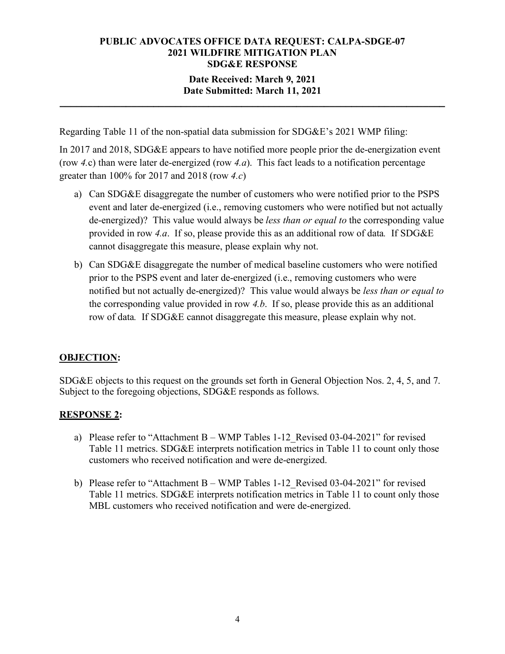# **Date Received: March 9, 2021 Date Submitted: March 11, 2021**

**\_\_\_\_\_\_\_\_\_\_\_\_\_\_\_\_\_\_\_\_\_\_\_\_\_\_\_\_\_\_\_\_\_\_\_\_\_\_\_\_\_\_\_\_\_\_\_\_\_\_\_\_\_\_\_\_\_\_\_\_\_\_\_\_\_\_\_\_\_\_**

Regarding Table 11 of the non-spatial data submission for SDG&E's 2021 WMP filing:

In 2017 and 2018, SDG&E appears to have notified more people prior the de-energization event (row *4.*c) than were later de-energized (row *4.a*). This fact leads to a notification percentage greater than 100% for 2017 and 2018 (row *4.c*)

- a) Can SDG&E disaggregate the number of customers who were notified prior to the PSPS event and later de-energized (i.e., removing customers who were notified but not actually de-energized)? This value would always be *less than or equal to* the corresponding value provided in row *4.a*. If so, please provide this as an additional row of data*.* If SDG&E cannot disaggregate this measure, please explain why not.
- b) Can SDG&E disaggregate the number of medical baseline customers who were notified prior to the PSPS event and later de-energized (i.e., removing customers who were notified but not actually de-energized)? This value would always be *less than or equal to* the corresponding value provided in row *4.b*. If so, please provide this as an additional row of data*.* If SDG&E cannot disaggregate this measure, please explain why not.

# **OBJECTION:**

SDG&E objects to this request on the grounds set forth in General Objection Nos. 2, 4, 5, and 7. Subject to the foregoing objections, SDG&E responds as follows.

# **RESPONSE 2:**

- a) Please refer to "Attachment B WMP Tables 1-12 Revised 03-04-2021" for revised Table 11 metrics. SDG&E interprets notification metrics in Table 11 to count only those customers who received notification and were de-energized.
- b) Please refer to "Attachment B WMP Tables 1-12\_Revised 03-04-2021" for revised Table 11 metrics. SDG&E interprets notification metrics in Table 11 to count only those MBL customers who received notification and were de-energized.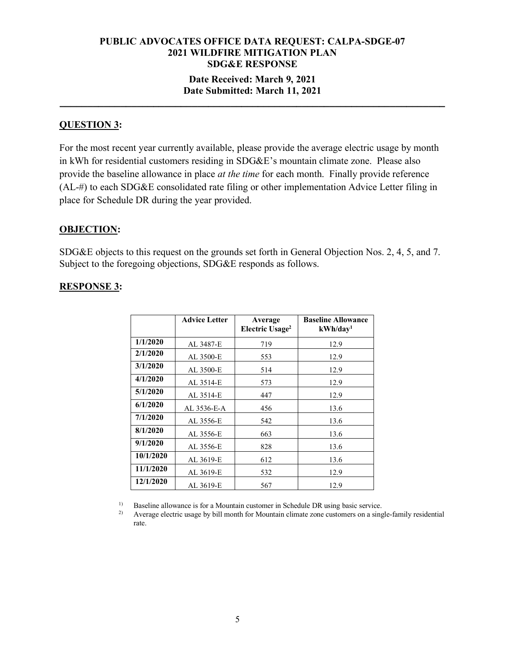## **Date Received: March 9, 2021 Date Submitted: March 11, 2021**

**\_\_\_\_\_\_\_\_\_\_\_\_\_\_\_\_\_\_\_\_\_\_\_\_\_\_\_\_\_\_\_\_\_\_\_\_\_\_\_\_\_\_\_\_\_\_\_\_\_\_\_\_\_\_\_\_\_\_\_\_\_\_\_\_\_\_\_\_\_\_**

### **QUESTION 3:**

For the most recent year currently available, please provide the average electric usage by month in kWh for residential customers residing in SDG&E's mountain climate zone. Please also provide the baseline allowance in place *at the time* for each month. Finally provide reference (AL-#) to each SDG&E consolidated rate filing or other implementation Advice Letter filing in place for Schedule DR during the year provided.

#### **OBJECTION:**

SDG&E objects to this request on the grounds set forth in General Objection Nos. 2, 4, 5, and 7. Subject to the foregoing objections, SDG&E responds as follows.

#### **RESPONSE 3:**

|           | <b>Advice Letter</b> | Average<br>Electric Usage <sup>2</sup> | <b>Baseline Allowance</b><br>kWh/day <sup>1</sup> |
|-----------|----------------------|----------------------------------------|---------------------------------------------------|
| 1/1/2020  | AL 3487-E            | 719                                    | 12.9                                              |
| 2/1/2020  | AL 3500-E            | 553                                    | 12.9                                              |
| 3/1/2020  | AL 3500-E            | 514                                    | 12.9                                              |
| 4/1/2020  | AL 3514-E            | 573                                    | 12.9                                              |
| 5/1/2020  | AL 3514-E            | 447                                    | 12.9                                              |
| 6/1/2020  | AL 3536-E-A          | 456                                    | 13.6                                              |
| 7/1/2020  | AL 3556-E            | 542                                    | 13.6                                              |
| 8/1/2020  | AL 3556-E            | 663                                    | 13.6                                              |
| 9/1/2020  | AL 3556-E            | 828                                    | 13.6                                              |
| 10/1/2020 | AL 3619-E            | 612                                    | 13.6                                              |
| 11/1/2020 | AL 3619-E            | 532                                    | 12.9                                              |
| 12/1/2020 | AL 3619-E            | 567                                    | 12.9                                              |

<sup>1)</sup> Baseline allowance is for a Mountain customer in Schedule DR using basic service.<br><sup>2)</sup> Average electric usage by bill month for Mountain climate zone customers on a sing

2) Average electric usage by bill month for Mountain climate zone customers on a single-family residential rate.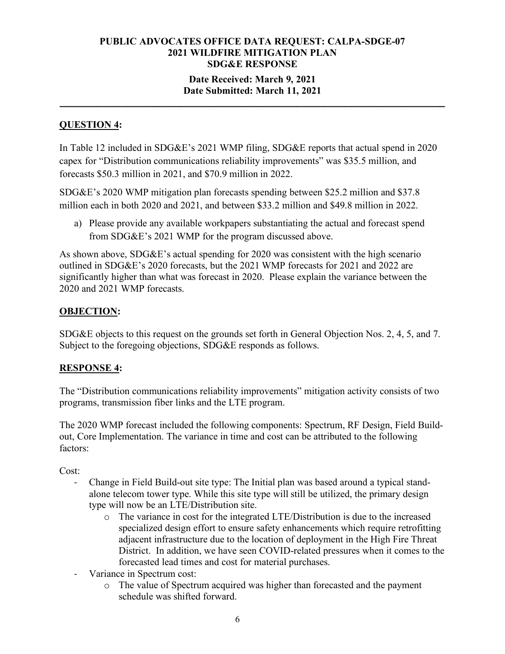## **Date Received: March 9, 2021 Date Submitted: March 11, 2021**

**\_\_\_\_\_\_\_\_\_\_\_\_\_\_\_\_\_\_\_\_\_\_\_\_\_\_\_\_\_\_\_\_\_\_\_\_\_\_\_\_\_\_\_\_\_\_\_\_\_\_\_\_\_\_\_\_\_\_\_\_\_\_\_\_\_\_\_\_\_\_**

# **QUESTION 4:**

In Table 12 included in SDG&E's 2021 WMP filing, SDG&E reports that actual spend in 2020 capex for "Distribution communications reliability improvements" was \$35.5 million, and forecasts \$50.3 million in 2021, and \$70.9 million in 2022.

SDG&E's 2020 WMP mitigation plan forecasts spending between \$25.2 million and \$37.8 million each in both 2020 and 2021, and between \$33.2 million and \$49.8 million in 2022.

a) Please provide any available workpapers substantiating the actual and forecast spend from SDG&E's 2021 WMP for the program discussed above.

As shown above, SDG&E's actual spending for 2020 was consistent with the high scenario outlined in SDG&E's 2020 forecasts, but the 2021 WMP forecasts for 2021 and 2022 are significantly higher than what was forecast in 2020. Please explain the variance between the 2020 and 2021 WMP forecasts.

# **OBJECTION:**

SDG&E objects to this request on the grounds set forth in General Objection Nos. 2, 4, 5, and 7. Subject to the foregoing objections, SDG&E responds as follows.

# **RESPONSE 4:**

The "Distribution communications reliability improvements" mitigation activity consists of two programs, transmission fiber links and the LTE program.

The 2020 WMP forecast included the following components: Spectrum, RF Design, Field Buildout, Core Implementation. The variance in time and cost can be attributed to the following factors:

Cost:

- Change in Field Build-out site type: The Initial plan was based around a typical standalone telecom tower type. While this site type will still be utilized, the primary design type will now be an LTE/Distribution site.
	- o The variance in cost for the integrated LTE/Distribution is due to the increased specialized design effort to ensure safety enhancements which require retrofitting adjacent infrastructure due to the location of deployment in the High Fire Threat District. In addition, we have seen COVID-related pressures when it comes to the forecasted lead times and cost for material purchases.
- Variance in Spectrum cost:
	- o The value of Spectrum acquired was higher than forecasted and the payment schedule was shifted forward.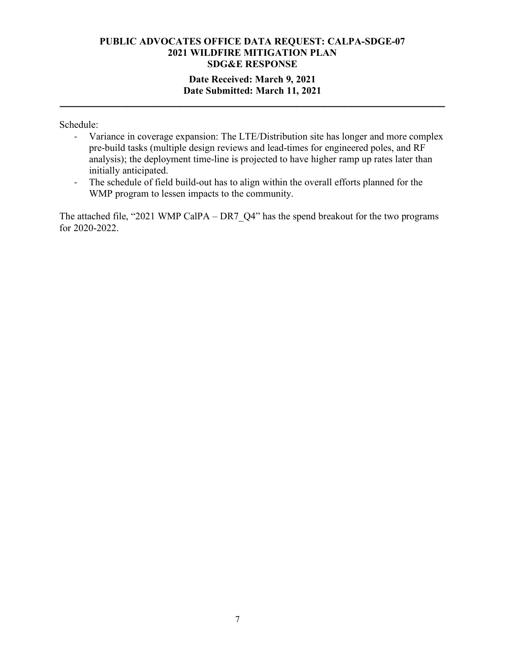## **Date Received: March 9, 2021 Date Submitted: March 11, 2021**

**\_\_\_\_\_\_\_\_\_\_\_\_\_\_\_\_\_\_\_\_\_\_\_\_\_\_\_\_\_\_\_\_\_\_\_\_\_\_\_\_\_\_\_\_\_\_\_\_\_\_\_\_\_\_\_\_\_\_\_\_\_\_\_\_\_\_\_\_\_\_**

Schedule:

- Variance in coverage expansion: The LTE/Distribution site has longer and more complex pre-build tasks (multiple design reviews and lead-times for engineered poles, and RF analysis); the deployment time-line is projected to have higher ramp up rates later than initially anticipated.
- The schedule of field build-out has to align within the overall efforts planned for the WMP program to lessen impacts to the community.

The attached file, "2021 WMP CalPA – DR7\_Q4" has the spend breakout for the two programs for 2020-2022.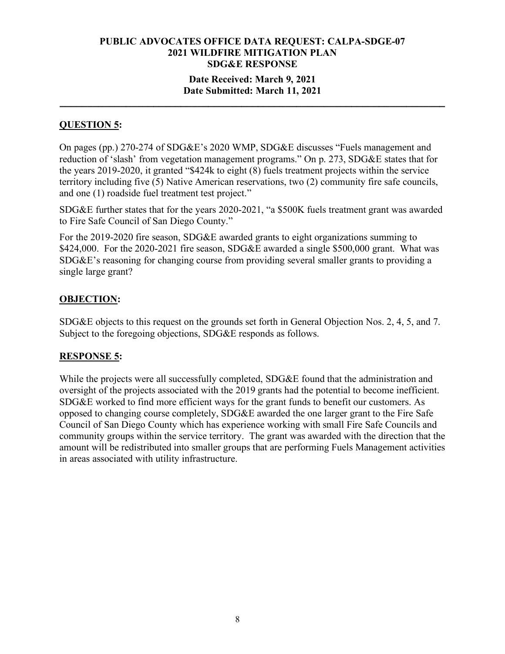### **Date Received: March 9, 2021 Date Submitted: March 11, 2021**

**\_\_\_\_\_\_\_\_\_\_\_\_\_\_\_\_\_\_\_\_\_\_\_\_\_\_\_\_\_\_\_\_\_\_\_\_\_\_\_\_\_\_\_\_\_\_\_\_\_\_\_\_\_\_\_\_\_\_\_\_\_\_\_\_\_\_\_\_\_\_**

# **QUESTION 5:**

On pages (pp.) 270-274 of SDG&E's 2020 WMP, SDG&E discusses "Fuels management and reduction of 'slash' from vegetation management programs." On p. 273, SDG&E states that for the years 2019-2020, it granted "\$424k to eight (8) fuels treatment projects within the service territory including five (5) Native American reservations, two (2) community fire safe councils, and one (1) roadside fuel treatment test project."

SDG&E further states that for the years 2020-2021, "a \$500K fuels treatment grant was awarded to Fire Safe Council of San Diego County."

For the 2019-2020 fire season, SDG&E awarded grants to eight organizations summing to \$424,000. For the 2020-2021 fire season, SDG&E awarded a single \$500,000 grant. What was SDG&E's reasoning for changing course from providing several smaller grants to providing a single large grant?

# **OBJECTION:**

SDG&E objects to this request on the grounds set forth in General Objection Nos. 2, 4, 5, and 7. Subject to the foregoing objections, SDG&E responds as follows.

# **RESPONSE 5:**

While the projects were all successfully completed, SDG&E found that the administration and oversight of the projects associated with the 2019 grants had the potential to become inefficient. SDG&E worked to find more efficient ways for the grant funds to benefit our customers. As opposed to changing course completely, SDG&E awarded the one larger grant to the Fire Safe Council of San Diego County which has experience working with small Fire Safe Councils and community groups within the service territory. The grant was awarded with the direction that the amount will be redistributed into smaller groups that are performing Fuels Management activities in areas associated with utility infrastructure.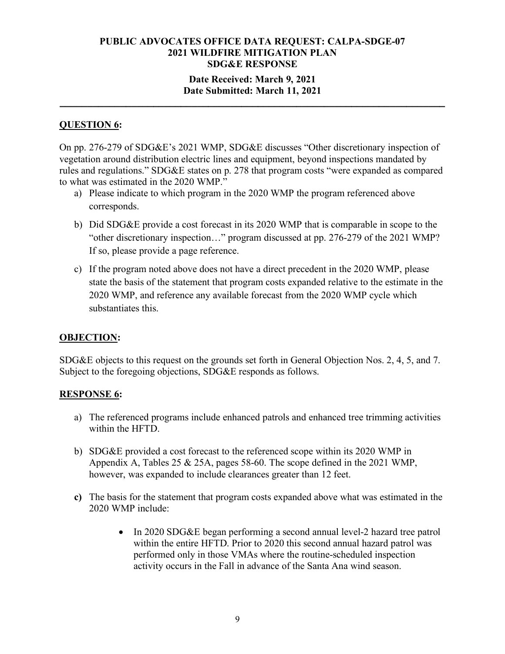### **Date Received: March 9, 2021 Date Submitted: March 11, 2021**

**\_\_\_\_\_\_\_\_\_\_\_\_\_\_\_\_\_\_\_\_\_\_\_\_\_\_\_\_\_\_\_\_\_\_\_\_\_\_\_\_\_\_\_\_\_\_\_\_\_\_\_\_\_\_\_\_\_\_\_\_\_\_\_\_\_\_\_\_\_\_**

# **QUESTION 6:**

On pp. 276-279 of SDG&E's 2021 WMP, SDG&E discusses "Other discretionary inspection of vegetation around distribution electric lines and equipment, beyond inspections mandated by rules and regulations." SDG&E states on p. 278 that program costs "were expanded as compared to what was estimated in the 2020 WMP."

- a) Please indicate to which program in the 2020 WMP the program referenced above corresponds.
- b) Did SDG&E provide a cost forecast in its 2020 WMP that is comparable in scope to the "other discretionary inspection…" program discussed at pp. 276-279 of the 2021 WMP? If so, please provide a page reference.
- c) If the program noted above does not have a direct precedent in the 2020 WMP, please state the basis of the statement that program costs expanded relative to the estimate in the 2020 WMP, and reference any available forecast from the 2020 WMP cycle which substantiates this.

# **OBJECTION:**

SDG&E objects to this request on the grounds set forth in General Objection Nos. 2, 4, 5, and 7. Subject to the foregoing objections, SDG&E responds as follows.

#### **RESPONSE 6:**

- a) The referenced programs include enhanced patrols and enhanced tree trimming activities within the HFTD.
- b) SDG&E provided a cost forecast to the referenced scope within its 2020 WMP in Appendix A, Tables 25 & 25A, pages 58-60. The scope defined in the 2021 WMP, however, was expanded to include clearances greater than 12 feet.
- **c)** The basis for the statement that program costs expanded above what was estimated in the 2020 WMP include:
	- In 2020 SDG&E began performing a second annual level-2 hazard tree patrol within the entire HFTD. Prior to 2020 this second annual hazard patrol was performed only in those VMAs where the routine-scheduled inspection activity occurs in the Fall in advance of the Santa Ana wind season.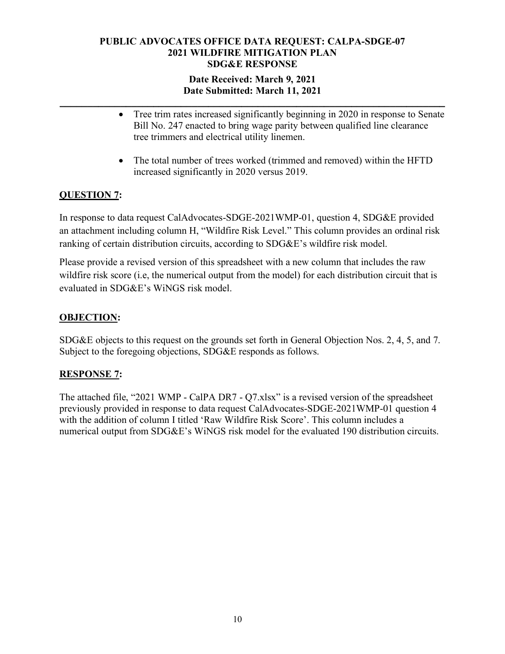# **Date Received: March 9, 2021 Date Submitted: March 11, 2021**

**\_\_\_\_\_\_\_\_\_\_\_\_\_\_\_\_\_\_\_\_\_\_\_\_\_\_\_\_\_\_\_\_\_\_\_\_\_\_\_\_\_\_\_\_\_\_\_\_\_\_\_\_\_\_\_\_\_\_\_\_\_\_\_\_\_\_\_\_\_\_**

- Tree trim rates increased significantly beginning in 2020 in response to Senate Bill No. 247 enacted to bring wage parity between qualified line clearance tree trimmers and electrical utility linemen.
- The total number of trees worked (trimmed and removed) within the HFTD increased significantly in 2020 versus 2019.

# **QUESTION 7:**

In response to data request CalAdvocates-SDGE-2021WMP-01, question 4, SDG&E provided an attachment including column H, "Wildfire Risk Level." This column provides an ordinal risk ranking of certain distribution circuits, according to SDG&E's wildfire risk model.

Please provide a revised version of this spreadsheet with a new column that includes the raw wildfire risk score (i.e, the numerical output from the model) for each distribution circuit that is evaluated in SDG&E's WiNGS risk model.

# **OBJECTION:**

SDG&E objects to this request on the grounds set forth in General Objection Nos. 2, 4, 5, and 7. Subject to the foregoing objections, SDG&E responds as follows.

# **RESPONSE 7:**

The attached file, "2021 WMP - CalPA DR7 - Q7.xlsx" is a revised version of the spreadsheet previously provided in response to data request CalAdvocates-SDGE-2021WMP-01 question 4 with the addition of column I titled 'Raw Wildfire Risk Score'. This column includes a numerical output from SDG&E's WiNGS risk model for the evaluated 190 distribution circuits.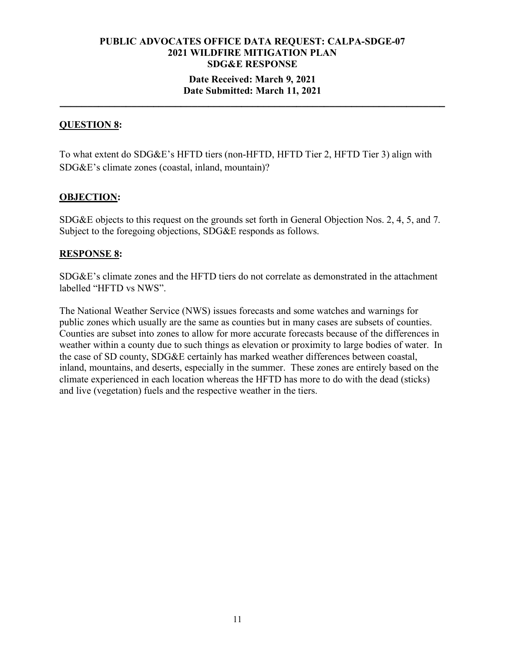## **Date Received: March 9, 2021 Date Submitted: March 11, 2021**

**\_\_\_\_\_\_\_\_\_\_\_\_\_\_\_\_\_\_\_\_\_\_\_\_\_\_\_\_\_\_\_\_\_\_\_\_\_\_\_\_\_\_\_\_\_\_\_\_\_\_\_\_\_\_\_\_\_\_\_\_\_\_\_\_\_\_\_\_\_\_**

### **QUESTION 8:**

To what extent do SDG&E's HFTD tiers (non-HFTD, HFTD Tier 2, HFTD Tier 3) align with SDG&E's climate zones (coastal, inland, mountain)?

### **OBJECTION:**

SDG&E objects to this request on the grounds set forth in General Objection Nos. 2, 4, 5, and 7. Subject to the foregoing objections, SDG&E responds as follows.

#### **RESPONSE 8:**

SDG&E's climate zones and the HFTD tiers do not correlate as demonstrated in the attachment labelled "HFTD vs NWS".

The National Weather Service (NWS) issues forecasts and some watches and warnings for public zones which usually are the same as counties but in many cases are subsets of counties. Counties are subset into zones to allow for more accurate forecasts because of the differences in weather within a county due to such things as elevation or proximity to large bodies of water. In the case of SD county, SDG&E certainly has marked weather differences between coastal, inland, mountains, and deserts, especially in the summer. These zones are entirely based on the climate experienced in each location whereas the HFTD has more to do with the dead (sticks) and live (vegetation) fuels and the respective weather in the tiers.